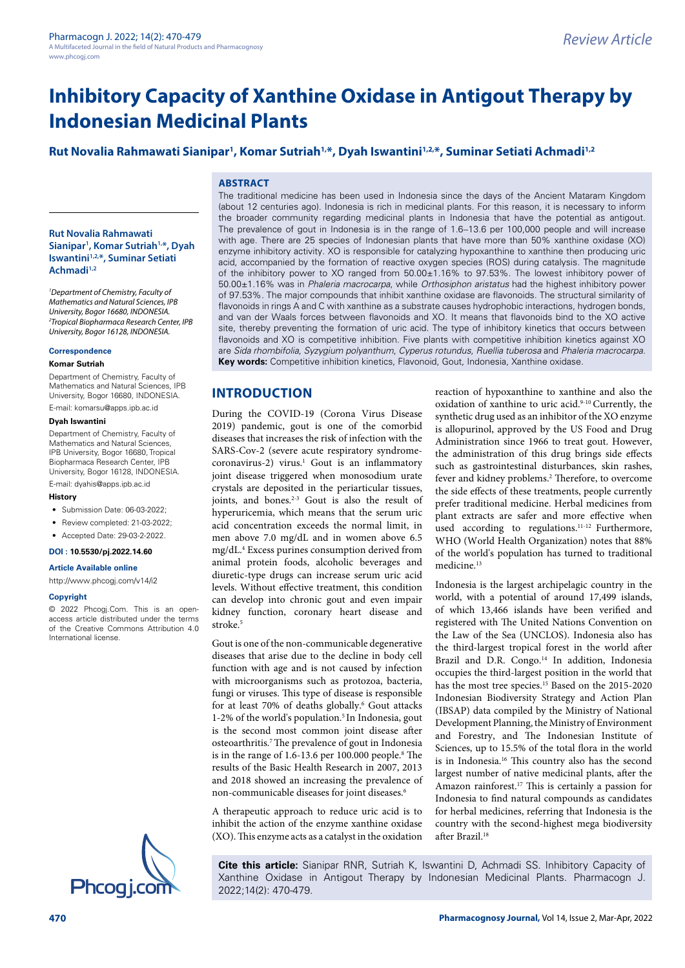# **Rut Novalia Rahmawati Sianipar1 , Komar Sutriah1,\*, Dyah Iswantini1,2,\*, Suminar Setiati Achmadi1,2**

### **ABSTRACT**

**Rut Novalia Rahmawati Sianipar1 , Komar Sutriah1,\*, Dyah Iswantini1,2,\*, Suminar Setiati Achmadi1,2**

*1 Department of Chemistry, Faculty of Mathematics and Natural Sciences, IPB University, Bogor 16680, INDONESIA. 2 Tropical Biopharmaca Research Center, IPB University, Bogor 16128, INDONESIA.*

#### **Correspondence**

#### **Komar Sutriah**

Department of Chemistry, Faculty of Mathematics and Natural Sciences, IPB University, Bogor 16680, INDONESIA.

E-mail: komarsu@apps.ipb.ac.id

#### **Dyah Iswantini**

Department of Chemistry, Faculty of Mathematics and Natural Sciences, IPB University, Bogor 16680, Tropical Biopharmaca Research Center, IPB University, Bogor 16128, INDONESIA.

E-mail: dyahis@apps.ipb.ac.id

### **History**

- Submission Date: 06-03-2022;
- Review completed: 21-03-2022;
- Accepted Date: 29-03-2-2022.

#### **DOI : 10.5530/pj.2022.14.60**

**Article Available online** 

[http://www.phcogj.com/v14/i](http://www.phcogj.com/v13/i4)2

#### **Copyright**

© 2022 Phcogj.Com. This is an openaccess article distributed under the terms of the Creative Commons Attribution 4.0 International license.



The traditional medicine has been used in Indonesia since the days of the Ancient Mataram Kingdom (about 12 centuries ago). Indonesia is rich in medicinal plants. For this reason, it is necessary to inform the broader community regarding medicinal plants in Indonesia that have the potential as antigout. The prevalence of gout in Indonesia is in the range of 1.6−13.6 per 100,000 people and will increase with age. There are 25 species of Indonesian plants that have more than 50% xanthine oxidase (XO) enzyme inhibitory activity. XO is responsible for catalyzing hypoxanthine to xanthine then producing uric acid, accompanied by the formation of reactive oxygen species (ROS) during catalysis. The magnitude of the inhibitory power to XO ranged from 50.00±1.16% to 97.53%. The lowest inhibitory power of 50.00±1.16% was in *Phaleria macrocarpa*, while *Orthosiphon aristatus* had the highest inhibitory power of 97.53%. The major compounds that inhibit xanthine oxidase are flavonoids. The structural similarity of flavonoids in rings A and C with xanthine as a substrate causes hydrophobic interactions, hydrogen bonds, and van der Waals forces between flavonoids and XO. It means that flavonoids bind to the XO active site, thereby preventing the formation of uric acid. The type of inhibitory kinetics that occurs between flavonoids and XO is competitive inhibition. Five plants with competitive inhibition kinetics against XO are *Sida rhombifolia*, *Syzygium polyanthum*, *Cyperus rotundus*, *Ruellia tuberosa* and *Phaleria macrocarpa*. **Key words:** Competitive inhibition kinetics, Flavonoid, Gout, Indonesia, Xanthine oxidase.

## **INTRODUCTION**

During the COVID-19 (Corona Virus Disease 2019) pandemic, gout is one of the comorbid diseases that increases the risk of infection with the SARS-Cov-2 (severe acute respiratory syndromecoronavirus-2) virus.<sup>1</sup> Gout is an inflammatory joint disease triggered when monosodium urate crystals are deposited in the periarticular tissues, joints, and bones.<sup> $2-3$ </sup> Gout is also the result of hyperuricemia, which means that the serum uric acid concentration exceeds the normal limit, in men above 7.0 mg/dL and in women above 6.5 mg/dL.4 Excess purines consumption derived from animal protein foods, alcoholic beverages and diuretic-type drugs can increase serum uric acid levels. Without effective treatment, this condition can develop into chronic gout and even impair kidney function, coronary heart disease and stroke.<sup>5</sup>

Gout is one of the non-communicable degenerative diseases that arise due to the decline in body cell function with age and is not caused by infection with microorganisms such as protozoa, bacteria, fungi or viruses. This type of disease is responsible for at least 70% of deaths globally.<sup>6</sup> Gout attacks 1-2% of the world's population.<sup>5</sup> In Indonesia, gout is the second most common joint disease after osteoarthritis.<sup>7</sup> The prevalence of gout in Indonesia is in the range of 1.6-13.6 per 100.000 people.8 The results of the Basic Health Research in 2007, 2013 and 2018 showed an increasing the prevalence of non-communicable diseases for joint diseases.6

A therapeutic approach to reduce uric acid is to inhibit the action of the enzyme xanthine oxidase (XO). This enzyme acts as a catalyst in the oxidation reaction of hypoxanthine to xanthine and also the oxidation of xanthine to uric acid.<sup>9-10</sup> Currently, the synthetic drug used as an inhibitor of the XO enzyme is allopurinol, approved by the US Food and Drug Administration since 1966 to treat gout. However, the administration of this drug brings side effects such as gastrointestinal disturbances, skin rashes, fever and kidney problems.<sup>2</sup> Therefore, to overcome the side effects of these treatments, people currently prefer traditional medicine. Herbal medicines from plant extracts are safer and more effective when used according to regulations.11-12 Furthermore, WHO (World Health Organization) notes that 88% of the world's population has turned to traditional medicine.<sup>13</sup>

Indonesia is the largest archipelagic country in the world, with a potential of around 17,499 islands, of which 13,466 islands have been verified and registered with The United Nations Convention on the Law of the Sea (UNCLOS). Indonesia also has the third-largest tropical forest in the world after Brazil and D.R. Congo.<sup>14</sup> In addition, Indonesia occupies the third-largest position in the world that has the most tree species.<sup>15</sup> Based on the 2015-2020 Indonesian Biodiversity Strategy and Action Plan (IBSAP) data compiled by the Ministry of National Development Planning, the Ministry of Environment and Forestry, and The Indonesian Institute of Sciences, up to 15.5% of the total flora in the world is in Indonesia.<sup>16</sup> This country also has the second largest number of native medicinal plants, after the Amazon rainforest.17 This is certainly a passion for Indonesia to find natural compounds as candidates for herbal medicines, referring that Indonesia is the country with the second-highest mega biodiversity after Brazil.18

**Cite this article:** Sianipar RNR, Sutriah K, Iswantini D, Achmadi SS. Inhibitory Capacity of Xanthine Oxidase in Antigout Therapy by Indonesian Medicinal Plants. Pharmacogn J.<br>2022;14(2): 470-479.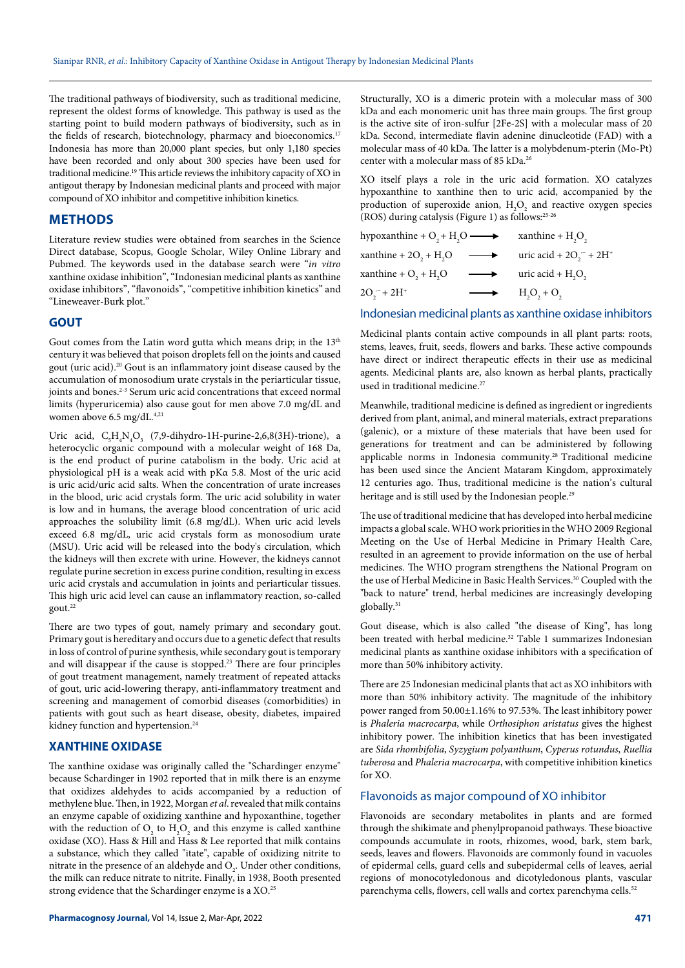The traditional pathways of biodiversity, such as traditional medicine, represent the oldest forms of knowledge. This pathway is used as the starting point to build modern pathways of biodiversity, such as in the fields of research, biotechnology, pharmacy and bioeconomics.<sup>17</sup> Indonesia has more than 20,000 plant species, but only 1,180 species have been recorded and only about 300 species have been used for traditional medicine.<sup>19</sup> This article reviews the inhibitory capacity of XO in antigout therapy by Indonesian medicinal plants and proceed with major compound of XO inhibitor and competitive inhibition kinetics.

## **METHODS**

Literature review studies were obtained from searches in the Science Direct database, Scopus, Google Scholar, Wiley Online Library and Pubmed. The keywords used in the database search were "*in vitro* xanthine oxidase inhibition", "Indonesian medicinal plants as xanthine oxidase inhibitors", "flavonoids", "competitive inhibition kinetics" and "Lineweaver-Burk plot."

### **GOUT**

Gout comes from the Latin word gutta which means drip; in the  $13<sup>th</sup>$ century it was believed that poison droplets fell on the joints and caused gout (uric acid).20 Gout is an inflammatory joint disease caused by the accumulation of monosodium urate crystals in the periarticular tissue, joints and bones.<sup>2-3</sup> Serum uric acid concentrations that exceed normal limits (hyperuricemia) also cause gout for men above 7.0 mg/dL and women above 6.5 mg/dL.<sup>4,21</sup>

Uric acid,  $C_5H_4N_4O_3$  (7,9-dihydro-1H-purine-2,6,8(3H)-trione), a heterocyclic organic compound with a molecular weight of 168 Da, is the end product of purine catabolism in the body. Uric acid at physiological pH is a weak acid with pKα 5.8. Most of the uric acid is uric acid/uric acid salts. When the concentration of urate increases in the blood, uric acid crystals form. The uric acid solubility in water is low and in humans, the average blood concentration of uric acid approaches the solubility limit (6.8 mg/dL). When uric acid levels exceed 6.8 mg/dL, uric acid crystals form as monosodium urate (MSU). Uric acid will be released into the body's circulation, which the kidneys will then excrete with urine. However, the kidneys cannot regulate purine secretion in excess purine condition, resulting in excess uric acid crystals and accumulation in joints and periarticular tissues. This high uric acid level can cause an inflammatory reaction, so-called gout.22

There are two types of gout, namely primary and secondary gout. Primary gout is hereditary and occurs due to a genetic defect that results in loss of control of purine synthesis, while secondary gout is temporary and will disappear if the cause is stopped.23 There are four principles of gout treatment management, namely treatment of repeated attacks of gout, uric acid-lowering therapy, anti-inflammatory treatment and screening and management of comorbid diseases (comorbidities) in patients with gout such as heart disease, obesity, diabetes, impaired kidney function and hypertension.<sup>24</sup>

### **XANTHINE OXIDASE**

The xanthine oxidase was originally called the "Schardinger enzyme" because Schardinger in 1902 reported that in milk there is an enzyme that oxidizes aldehydes to acids accompanied by a reduction of methylene blue. Then, in 1922, Morgan *et al*. revealed that milk contains an enzyme capable of oxidizing xanthine and hypoxanthine, together with the reduction of  $O_2$  to  $H_2O_2$  and this enzyme is called xanthine oxidase (XO). Hass & Hill and Hass & Lee reported that milk contains a substance, which they called "itate", capable of oxidizing nitrite to nitrate in the presence of an aldehyde and  $O_2$ . Under other conditions, the milk can reduce nitrate to nitrite. Finally, in 1938, Booth presented strong evidence that the Schardinger enzyme is a XO.25

**Pharmacognosy Journal,** Vol 14, Issue 2, Mar-Apr, 2022

Structurally, XO is a dimeric protein with a molecular mass of 300 kDa and each monomeric unit has three main groups. The first group is the active site of iron-sulfur [2Fe-2S] with a molecular mass of 20 kDa. Second, intermediate flavin adenine dinucleotide (FAD) with a molecular mass of 40 kDa. The latter is a molybdenum-pterin (Mo-Pt) center with a molecular mass of 85 kDa.26

XO itself plays a role in the uric acid formation. XO catalyzes hypoxanthine to xanthine then to uric acid, accompanied by the production of superoxide anion,  $H_2O_2$  and reactive oxygen species (ROS) during catalysis (Figure 1) as follows:25-26

| hypoxanthine + $O_2$ + H <sub>2</sub> O $\longrightarrow$ xanthine + H <sub>2</sub> O <sub>2</sub> |                   |                                          |
|----------------------------------------------------------------------------------------------------|-------------------|------------------------------------------|
| xanthine + $2O_2 + H_2O$                                                                           | $\longrightarrow$ | uric acid + $2O_1$ <sup>-</sup> + $2H^+$ |
| xanthine + $O_1$ + $H_2O$                                                                          | $\longrightarrow$ | uric acid + $H2O2$                       |
| $2O_1^- + 2H^+$                                                                                    |                   | $H_2O_2 + O_2$                           |

#### Indonesian medicinal plants as xanthine oxidase inhibitors

Medicinal plants contain active compounds in all plant parts: roots, stems, leaves, fruit, seeds, flowers and barks. These active compounds have direct or indirect therapeutic effects in their use as medicinal agents. Medicinal plants are, also known as herbal plants, practically used in traditional medicine.<sup>27</sup>

Meanwhile, traditional medicine is defined as ingredient or ingredients derived from plant, animal, and mineral materials, extract preparations (galenic), or a mixture of these materials that have been used for generations for treatment and can be administered by following applicable norms in Indonesia community.28 Traditional medicine has been used since the Ancient Mataram Kingdom, approximately 12 centuries ago. Thus, traditional medicine is the nation's cultural heritage and is still used by the Indonesian people.<sup>29</sup>

The use of traditional medicine that has developed into herbal medicine impacts a global scale. WHO work priorities in the WHO 2009 Regional Meeting on the Use of Herbal Medicine in Primary Health Care, resulted in an agreement to provide information on the use of herbal medicines. The WHO program strengthens the National Program on the use of Herbal Medicine in Basic Health Services.<sup>30</sup> Coupled with the "back to nature" trend, herbal medicines are increasingly developing globally.<sup>31</sup>

Gout disease, which is also called "the disease of King", has long been treated with herbal medicine.<sup>32</sup> Table 1 summarizes Indonesian medicinal plants as xanthine oxidase inhibitors with a specification of more than 50% inhibitory activity.

There are 25 Indonesian medicinal plants that act as XO inhibitors with more than 50% inhibitory activity. The magnitude of the inhibitory power ranged from 50.00±1.16% to 97.53%. The least inhibitory power is *Phaleria macrocarpa*, while *Orthosiphon aristatus* gives the highest inhibitory power. The inhibition kinetics that has been investigated are *Sida rhombifolia*, *Syzygium polyanthum*, *Cyperus rotundus*, *Ruellia tuberosa* and *Phaleria macrocarpa*, with competitive inhibition kinetics  $for XO.$ 

### Flavonoids as major compound of XO inhibitor

Flavonoids are secondary metabolites in plants and are formed through the shikimate and phenylpropanoid pathways. These bioactive compounds accumulate in roots, rhizomes, wood, bark, stem bark, seeds, leaves and flowers. Flavonoids are commonly found in vacuoles of epidermal cells, guard cells and subepidermal cells of leaves, aerial regions of monocotyledonous and dicotyledonous plants, vascular parenchyma cells, flowers, cell walls and cortex parenchyma cells.<sup>52</sup>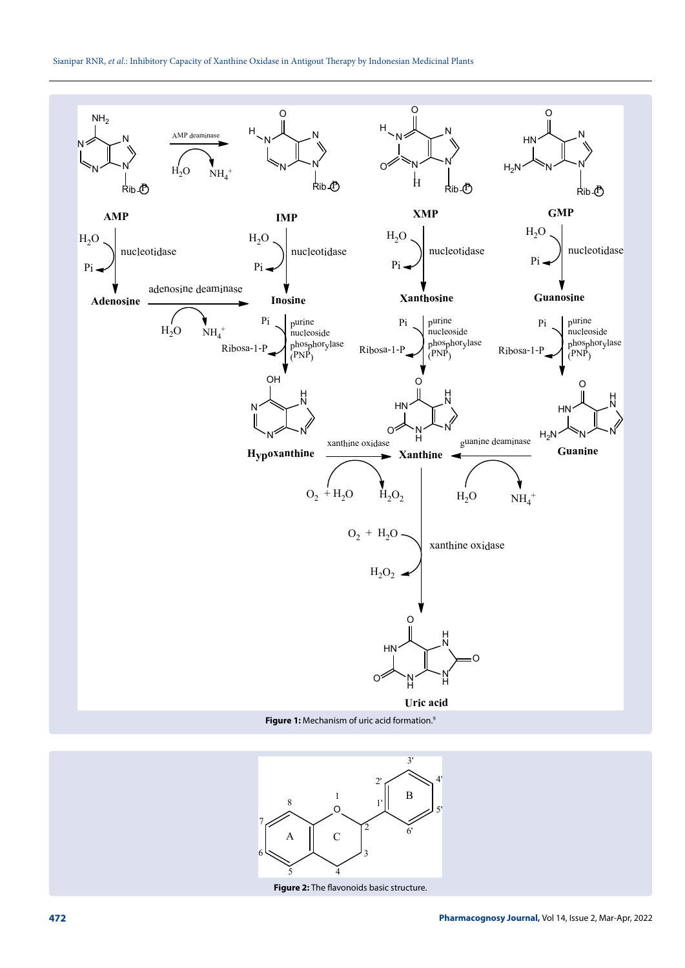

**Figure 1:** Mechanism of uric acid formation.9



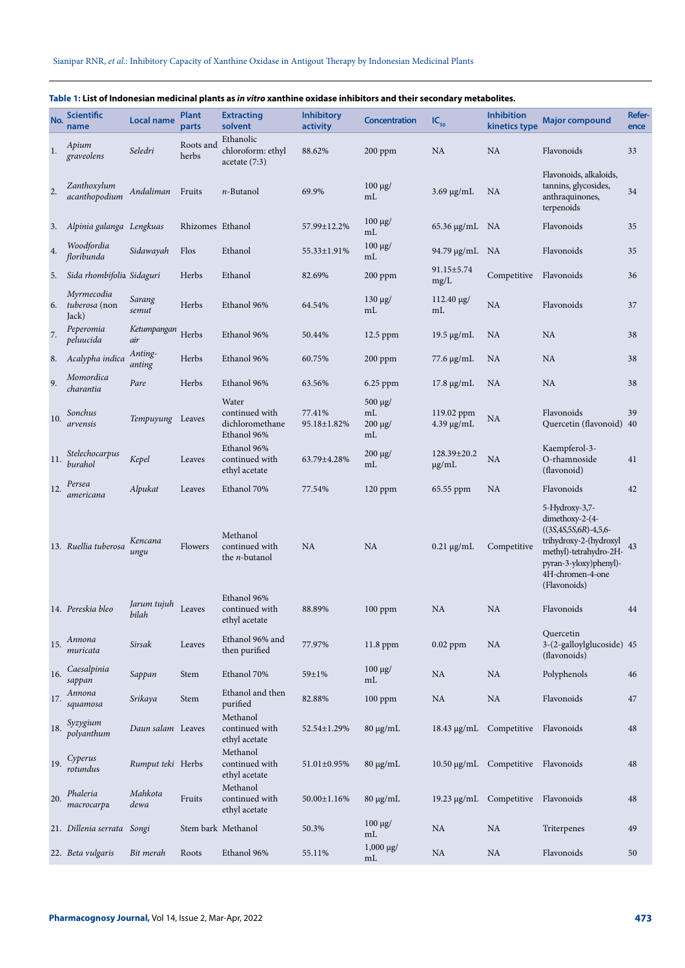| No.     | <b>Scientific</b><br>name            | <b>Local name</b>    | <b>Plant</b><br>parts | <b>Extracting</b><br>solvent                              | <b>Inhibitory</b><br>activity | <b>Concentration</b>                     | $IC_{50}$                     | <b>Inhibition</b><br>kinetics type | <b>Major compound</b>                                                                                                                                                                 | Refer-<br>ence |
|---------|--------------------------------------|----------------------|-----------------------|-----------------------------------------------------------|-------------------------------|------------------------------------------|-------------------------------|------------------------------------|---------------------------------------------------------------------------------------------------------------------------------------------------------------------------------------|----------------|
| 1.      | Apium<br>graveolens                  | Seledri              | Roots and<br>herbs    | Ethanolic<br>chloroform: ethyl<br>acetate(7:3)            | 88.62%                        | $200$ ppm                                | <b>NA</b>                     | <b>NA</b>                          | Flavonoids                                                                                                                                                                            | 33             |
| 2.      | Zanthoxylum<br>acanthopodium         | Andaliman            | Fruits                | <i>n</i> -Butanol                                         | 69.9%                         | $100 \mu g$ /<br>mL                      | $3.69 \mu g/mL$               | NA                                 | Flavonoids, alkaloids,<br>tannins, glycosides,<br>anthraquinones,<br>terpenoids                                                                                                       | 34             |
| 3.      | Alpinia galanga Lengkuas             |                      | Rhizomes Ethanol      |                                                           | 57.99±12.2%                   | $100$ μg/<br>mL                          | 65.36 µg/mL NA                |                                    | Flavonoids                                                                                                                                                                            | 35             |
| 4.      | Woodfordia<br>floribunda             | Sidawayah            | Flos                  | Ethanol                                                   | 55.33±1.91%                   | $100$ μg/<br>mL                          | 94.79 μg/mL                   | NA                                 | Flavonoids                                                                                                                                                                            | 35             |
| 5.      | Sida rhombifolia Sidaguri            |                      | Herbs                 | Ethanol                                                   | 82.69%                        | $200$ ppm                                | $91.15 \pm 5.74$<br>mg/L      | Competitive                        | Flavonoids                                                                                                                                                                            | 36             |
| 6.      | Myrmecodia<br>tuberosa (non<br>Jack) | Sarang<br>semut      | Herbs                 | Ethanol 96%                                               | 64.54%                        | $130 \mu g$<br>mL                        | $112.40 \mu g$ /<br>mL        | <b>NA</b>                          | Flavonoids                                                                                                                                                                            | 37             |
| $7. \,$ | Peperomia<br>peluucida               | Ketumpangan<br>air   | Herbs                 | Ethanol 96%                                               | 50.44%                        | 12.5 ppm                                 | 19.5 $\mu$ g/mL               | NA                                 | <b>NA</b>                                                                                                                                                                             | 38             |
| 8.      | Acalypha indica                      | Anting-<br>anting    | Herbs                 | Ethanol 96%                                               | 60.75%                        | $200$ ppm                                | 77.6 μg/mL                    | NA                                 | <b>NA</b>                                                                                                                                                                             | 38             |
| 9.      | Momordica<br>charantia               | Pare                 | Herbs                 | Ethanol 96%                                               | 63.56%                        | 6.25 ppm                                 | $17.8 \mu g/mL$               | <b>NA</b>                          | <b>NA</b>                                                                                                                                                                             | 38             |
| 10.     | Sonchus<br>arvensis                  | Tempuyung Leaves     |                       | Water<br>continued with<br>dichloromethane<br>Ethanol 96% | 77.41%<br>95.18±1.82%         | $500 \mu g$<br>mL<br>$200 \mu g$ /<br>mL | 119.02 ppm<br>$4.39 \mu g/mL$ | NA                                 | Flavonoids<br>Quercetin (flavonoid) 40                                                                                                                                                | 39             |
| 11.     | Stelechocarpus<br>burahol            | Kepel                | Leaves                | Ethanol 96%<br>continued with<br>ethyl acetate            | 63.79±4.28%                   | 200 μg/<br>mL                            | 128.39±20.2<br>$\mu$ g/mL     | NA                                 | Kaempferol-3-<br>O-rhamnoside<br>(flavonoid)                                                                                                                                          | 41             |
| 12.     | Persea<br>americana                  | Alpukat              | Leaves                | Ethanol 70%                                               | 77.54%                        | $120$ ppm                                | 65.55 ppm                     | NA                                 | Flavonoids                                                                                                                                                                            | 42             |
|         | 13. Ruellia tuberosa                 | Kencana<br>ungu      | Flowers               | Methanol<br>continued with<br>the <i>n</i> -butanol       | NA                            | NA                                       | $0.21 \mu g/mL$               | Competitive                        | 5-Hydroxy-3,7-<br>dimethoxy-2-(4-<br>$((3S, 4S, 5S, 6R) - 4, 5, 6-$<br>trihydroxy-2-(hydroxyl<br>methyl)-tetrahydro-2H-<br>pyran-3-yloxy)phenyl)-<br>4H-chromen-4-one<br>(Flavonoids) | 43             |
|         | 14. Pereskia bleo                    | Jarum tujuh<br>bilah | Leaves                | Ethanol 96%<br>continued with<br>ethyl acetate            | 88.89%                        | $100$ ppm                                | <b>NA</b>                     | <b>NA</b>                          | Flavonoids                                                                                                                                                                            | 44             |
| 15.     | Annona<br>muricata                   | Sirsak               | Leaves                | Ethanol 96% and<br>then purified                          | 77.97%                        | 11.8 ppm                                 | $0.02$ ppm                    | <b>NA</b>                          | Quercetin<br>3-(2-galloylglucoside) 45<br>(flavonoids)                                                                                                                                |                |
| 16.     | Caesalpinia<br>sappan                | Sappan               | Stem                  | Ethanol 70%                                               | 59±1%                         | $100 \mu g$ /<br>mL                      | NA                            | <b>NA</b>                          | Polyphenols                                                                                                                                                                           | 46             |
| 17.     | Annona<br>squamosa                   | Srikaya              | Stem                  | Ethanol and then<br>purified                              | 82.88%                        | $100$ ppm                                | <b>NA</b>                     | <b>NA</b>                          | Flavonoids                                                                                                                                                                            | 47             |
| 18.     | Syzygium<br>polyanthum               | Daun salam Leaves    |                       | Methanol<br>continued with<br>ethyl acetate               | 52.54±1.29%                   | $80 \mu g/mL$                            | 18.43 μg/mL                   | Competitive Flavonoids             |                                                                                                                                                                                       | 48             |
| 19.     | Cyperus<br>rotundus                  | Rumput teki Herbs    |                       | Methanol<br>continued with<br>ethyl acetate               | 51.01±0.95%                   | $80 \mu g/mL$                            |                               | 10.50 µg/mL Competitive Flavonoids |                                                                                                                                                                                       | 48             |
| 20.     | Phaleria<br>macrocarpa               | Mahkota<br>dewa      | Fruits                | Methanol<br>continued with<br>ethyl acetate               | 50.00±1.16%                   | $80 \mu g/mL$                            |                               | 19.23 µg/mL Competitive Flavonoids |                                                                                                                                                                                       | 48             |
|         | 21. Dillenia serrata Songi           |                      |                       | Stem bark Methanol                                        | 50.3%                         | $100 \mu g$ /<br>mL                      | <b>NA</b>                     | <b>NA</b>                          | Triterpenes                                                                                                                                                                           | 49             |
|         | 22. Beta vulgaris                    | Bit merah            | Roots                 | Ethanol 96%                                               | 55.11%                        | $1,000 \mu g$ /<br>mL                    | NA                            | <b>NA</b>                          | Flavonoids                                                                                                                                                                            | 50             |

## **Table 1: List of Indonesian medicinal plants as** *in vitro* **xanthine oxidase inhibitors and their secondary metabolites.**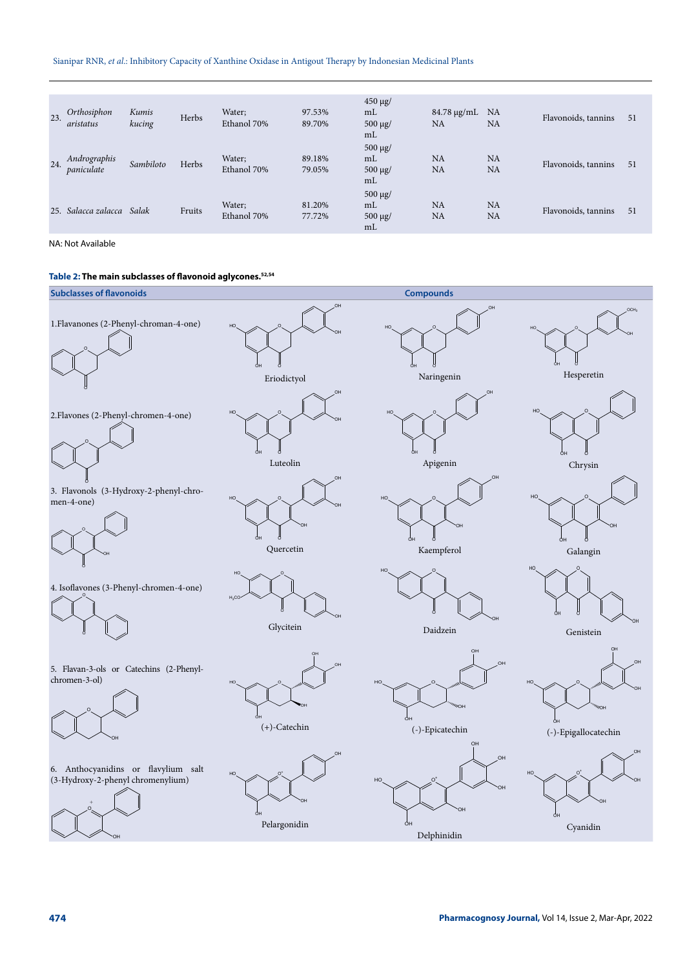### Sianipar RNR, *et al*.: Inhibitory Capacity of Xanthine Oxidase in Antigout Therapy by Indonesian Medicinal Plants

| 23. | Orthosiphon<br>aristatus   | Kumis<br>kucing | Herbs  | Water;<br>Ethanol 70% | 97.53%<br>89.70% | $450 \mu g$ /<br>m <sub>L</sub><br>$500 \mu g$<br>mL | $84.78 \mu g/mL$<br>NA | <b>NA</b><br><b>NA</b> | Flavonoids, tannins | 51 |
|-----|----------------------------|-----------------|--------|-----------------------|------------------|------------------------------------------------------|------------------------|------------------------|---------------------|----|
| 24. | Andrographis<br>paniculate | Sambiloto       | Herbs  | Water;<br>Ethanol 70% | 89.18%<br>79.05% | $500 \mu g$<br>mL<br>$500 \mu g$ /<br>m <sub>L</sub> | NA<br><b>NA</b>        | <b>NA</b><br><b>NA</b> | Flavonoids, tannins | 51 |
|     | 25. Salacca zalacca        | Salak           | Fruits | Water;<br>Ethanol 70% | 81.20%<br>77.72% | $500 \mu g$<br>m <sub>L</sub><br>$500 \mu g$<br>mL   | NA<br><b>NA</b>        | NA<br><b>NA</b>        | Flavonoids, tannins | 51 |

NA: Not Available

### **Table 2: The main subclasses of flavonoid aglycones.52,54**



OH

Delphinidin

OH

Cyanidin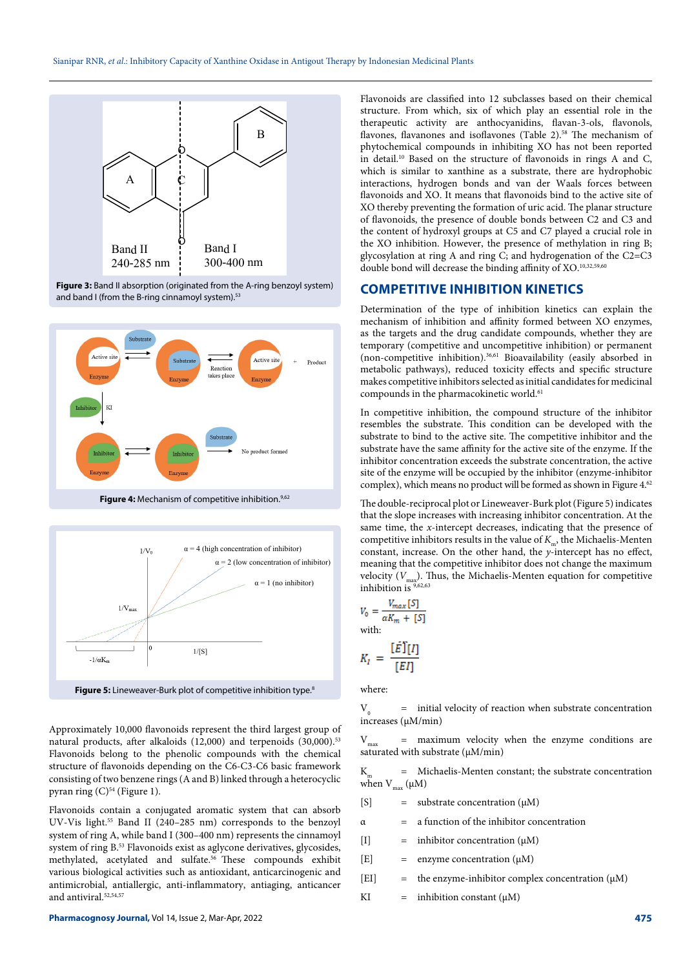

Figure 3: Band II absorption (originated from the A-ring benzoyl system) and band I (from the B-ring cinnamoyl system).<sup>53</sup>







Figure 5: Lineweaver-Burk plot of competitive inhibition type.<sup>8</sup>

Approximately 10,000 flavonoids represent the third largest group of natural products, after alkaloids (12,000) and terpenoids (30,000).<sup>53</sup> Flavonoids belong to the phenolic compounds with the chemical structure of flavonoids depending on the C6-C3-C6 basic framework consisting of two benzene rings (A and B) linked through a heterocyclic pyran ring  $(C)^{54}$  (Figure 1).

Flavonoids contain a conjugated aromatic system that can absorb UV-Vis light.55 Band II (240–285 nm) corresponds to the benzoyl system of ring A, while band I (300–400 nm) represents the cinnamoyl system of ring B.53 Flavonoids exist as aglycone derivatives, glycosides, methylated, acetylated and sulfate.56 These compounds exhibit various biological activities such as antioxidant, anticarcinogenic and antimicrobial, antiallergic, anti-inflammatory, antiaging, anticancer and antiviral.<sup>52,54,57</sup>

Flavonoids are classified into 12 subclasses based on their chemical structure. From which, six of which play an essential role in the therapeutic activity are anthocyanidins, flavan-3-ols, flavonols, flavones, flavanones and isoflavones (Table 2).<sup>58</sup> The mechanism of phytochemical compounds in inhibiting XO has not been reported in detail.10 Based on the structure of flavonoids in rings A and C, which is similar to xanthine as a substrate, there are hydrophobic interactions, hydrogen bonds and van der Waals forces between flavonoids and XO. It means that flavonoids bind to the active site of XO thereby preventing the formation of uric acid. The planar structure of flavonoids, the presence of double bonds between C2 and C3 and the content of hydroxyl groups at C5 and C7 played a crucial role in the XO inhibition. However, the presence of methylation in ring B; glycosylation at ring A and ring C; and hydrogenation of the C2=C3 double bond will decrease the binding affinity of XO.10,32,59,60

### **COMPETITIVE INHIBITION KINETICS**

Determination of the type of inhibition kinetics can explain the mechanism of inhibition and affinity formed between XO enzymes, as the targets and the drug candidate compounds, whether they are temporary (competitive and uncompetitive inhibition) or permanent (non-competitive inhibition).<sup>36,61</sup> Bioavailability (easily absorbed in metabolic pathways), reduced toxicity effects and specific structure makes competitive inhibitors selected as initial candidates for medicinal compounds in the pharmacokinetic world.<sup>61</sup>

In competitive inhibition, the compound structure of the inhibitor resembles the substrate. This condition can be developed with the substrate to bind to the active site. The competitive inhibitor and the substrate have the same affinity for the active site of the enzyme. If the inhibitor concentration exceeds the substrate concentration, the active site of the enzyme will be occupied by the inhibitor (enzyme-inhibitor complex), which means no product will be formed as shown in Figure 4.<sup>62</sup>

The double-reciprocal plot or Lineweaver-Burk plot (Figure 5) indicates that the slope increases with increasing inhibitor concentration. At the same time, the *x*-intercept decreases, indicating that the presence of competitive inhibitors results in the value of  $K_{m}$ , the Michaelis-Menten constant, increase. On the other hand, the *y*-intercept has no effect, meaning that the competitive inhibitor does not change the maximum velocity ( $V_{\text{max}}$ ). Thus, the Michaelis-Menten equation for competitive inhibition is 9,62,63

$$
V_0 = \frac{V_{max}[S]}{\alpha K_m + [S]}
$$
  
with:  

$$
V = \sum_{i=1}^{n} V_i
$$

$$
K_I = \frac{[E_1]I_1}{[EI]}
$$

where:

 $V_0$  = initial velocity of reaction when substrate concentration increases (μM/min)

 ${\rm V}_{\scriptscriptstyle\rm max}$  = maximum velocity when the enzyme conditions are saturated with substrate (μM/min)

 $K<sub>m</sub>$  = Michaelis-Menten constant; the substrate concentration when  $V_{max}(\mu M)$ 

[S]  $=$  substrate concentration  $(\mu M)$ 

 $\alpha$  = a function of the inhibitor concentration

- $[I]$  = inhibitor concentration  $(\mu M)$
- [E] = enzyme concentration (μM)
- [EI]  $=$  the enzyme-inhibitor complex concentration ( $\mu$ M)
- KI = inhibition constant  $(\mu M)$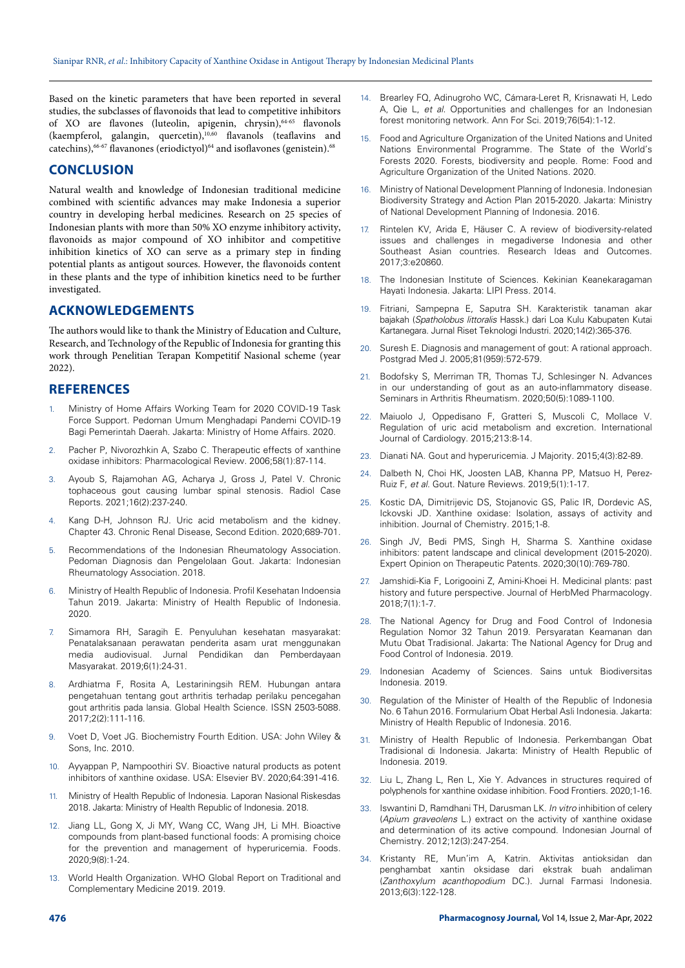Based on the kinetic parameters that have been reported in several studies, the subclasses of flavonoids that lead to competitive inhibitors of XO are flavones (luteolin, apigenin, chrysin),<sup>64-65</sup> flavonols (kaempferol, galangin, quercetin),10,60 flavanols (teaflavins and catechins),  $^{66-67}$  flavanones (eriodictyol) $^{64}$  and isoflavones (genistein). $^{68}$ 

## **CONCLUSION**

Natural wealth and knowledge of Indonesian traditional medicine combined with scientific advances may make Indonesia a superior country in developing herbal medicines. Research on 25 species of Indonesian plants with more than 50% XO enzyme inhibitory activity, flavonoids as major compound of XO inhibitor and competitive inhibition kinetics of XO can serve as a primary step in finding potential plants as antigout sources. However, the flavonoids content in these plants and the type of inhibition kinetics need to be further investigated.

### **ACKNOWLEDGEMENTS**

The authors would like to thank the Ministry of Education and Culture, Research, and Technology of the Republic of Indonesia for granting this work through Penelitian Terapan Kompetitif Nasional scheme (year 2022).

### **REFERENCES**

- 1. Ministry of Home Affairs Working Team for 2020 COVID-19 Task Force Support. Pedoman Umum Menghadapi Pandemi COVID-19 Bagi Pemerintah Daerah. Jakarta: Ministry of Home Affairs. 2020.
- 2. Pacher P, Nivorozhkin A, Szabo C. Therapeutic effects of xanthine oxidase inhibitors: Pharmacological Review. 2006;58(1):87-114.
- 3. Ayoub S, Rajamohan AG, Acharya J, Gross J, Patel V. Chronic tophaceous gout causing lumbar spinal stenosis. Radiol Case Reports. 2021;16(2):237-240.
- 4. Kang D-H, Johnson RJ. Uric acid metabolism and the kidney. Chapter 43. Chronic Renal Disease, Second Edition. 2020;689-701.
- 5. Recommendations of the Indonesian Rheumatology Association. Pedoman Diagnosis dan Pengelolaan Gout. Jakarta: Indonesian Rheumatology Association. 2018.
- 6. Ministry of Health Republic of Indonesia. Profil Kesehatan Indoensia Tahun 2019. Jakarta: Ministry of Health Republic of Indonesia. 2020.
- 7. Simamora RH, Saragih E. Penyuluhan kesehatan masyarakat: Penatalaksanaan perawatan penderita asam urat menggunakan media audiovisual. Jurnal Pendidikan dan Pemberdayaan Masyarakat. 2019;6(1):24-31.
- 8. Ardhiatma F, Rosita A, Lestariningsih REM. Hubungan antara pengetahuan tentang gout arthritis terhadap perilaku pencegahan gout arthritis pada lansia. Global Health Science. ISSN 2503-5088. 2017;2(2):111-116.
- 9. Voet D, Voet JG. Biochemistry Fourth Edition. USA: John Wiley & Sons, Inc. 2010.
- 10. Ayyappan P, Nampoothiri SV. Bioactive natural products as potent inhibitors of xanthine oxidase. USA: Elsevier BV. 2020;64:391-416.
- 11. Ministry of Health Republic of Indonesia. Laporan Nasional Riskesdas 2018. Jakarta: Ministry of Health Republic of Indonesia. 2018.
- 12. Jiang LL, Gong X, Ji MY, Wang CC, Wang JH, Li MH. Bioactive compounds from plant-based functional foods: A promising choice for the prevention and management of hyperuricemia. Foods. 2020;9(8):1-24.
- 13. World Health Organization. WHO Global Report on Traditional and Complementary Medicine 2019. 2019.
- 14. Brearley FQ, Adinugroho WC, Cámara-Leret R, Krisnawati H, Ledo A, Qie L, *et al*. Opportunities and challenges for an Indonesian forest monitoring network. Ann For Sci. 2019;76(54):1-12.
- 15. Food and Agriculture Organization of the United Nations and United Nations Environmental Programme. The State of the World's Forests 2020. Forests, biodiversity and people. Rome: Food and Agriculture Organization of the United Nations. 2020.
- 16. Ministry of National Development Planning of Indonesia. Indonesian Biodiversity Strategy and Action Plan 2015-2020. Jakarta: Ministry of National Development Planning of Indonesia. 2016.
- 17. Rintelen KV, Arida E, Häuser C. A review of biodiversity-related issues and challenges in megadiverse Indonesia and other Southeast Asian countries. Research Ideas and Outcomes. 2017;3:e20860.
- 18. The Indonesian Institute of Sciences. Kekinian Keanekaragaman Hayati Indonesia. Jakarta: LIPI Press. 2014.
- 19. Fitriani, Sampepna E, Saputra SH. Karakteristik tanaman akar bajakah (*Spatholobus littoralis* Hassk.) dari Loa Kulu Kabupaten Kutai Kartanegara. Jurnal Riset Teknologi Industri. 2020;14(2):365-376.
- 20. Suresh E. Diagnosis and management of gout: A rational approach. Postgrad Med J. 2005;81(959):572-579.
- 21. Bodofsky S, Merriman TR, Thomas TJ, Schlesinger N. Advances in our understanding of gout as an auto-inflammatory disease. Seminars in Arthritis Rheumatism*.* 2020;50(5):1089-1100.
- 22. Maiuolo J, Oppedisano F, Gratteri S, Muscoli C, Mollace V. Regulation of uric acid metabolism and excretion. International Journal of Cardiology. 2015;213:8-14.
- 23. Dianati NA. Gout and hyperuricemia. J Majority*.* 2015;4(3):82-89.
- 24. Dalbeth N, Choi HK, Joosten LAB, Khanna PP, Matsuo H, Perez-Ruiz F, *et al*. Gout. Nature Reviews. 2019;5(1):1-17.
- 25. Kostic DA, Dimitrijevic DS, Stojanovic GS, Palic IR, Dordevic AS, Ickovski JD. Xanthine oxidase: Isolation, assays of activity and inhibition. Journal of Chemistry*.* 2015;1-8.
- 26. Singh JV, Bedi PMS, Singh H, Sharma S. Xanthine oxidase inhibitors: patent landscape and clinical development (2015-2020). Expert Opinion on Therapeutic Patents. 2020;30(10):769-780.
- 27. Jamshidi-Kia F, Lorigooini Z, Amini-Khoei H. Medicinal plants: past history and future perspective. Journal of HerbMed Pharmacology. 2018;7(1):1-7.
- 28. The National Agency for Drug and Food Control of Indonesia Regulation Nomor 32 Tahun 2019. Persyaratan Keamanan dan Mutu Obat Tradisional. Jakarta: The National Agency for Drug and Food Control of Indonesia. 2019.
- 29. Indonesian Academy of Sciences. Sains untuk Biodiversitas Indonesia. 2019.
- 30. Regulation of the Minister of Health of the Republic of Indonesia No. 6 Tahun 2016. Formularium Obat Herbal Asli Indonesia. Jakarta: Ministry of Health Republic of Indonesia. 2016.
- 31. Ministry of Health Republic of Indonesia. Perkembangan Obat Tradisional di Indonesia. Jakarta: Ministry of Health Republic of Indonesia. 2019.
- 32. Liu L, Zhang L, Ren L, Xie Y. Advances in structures required of polyphenols for xanthine oxidase inhibition. Food Frontiers. 2020;1-16.
- 33. Iswantini D, Ramdhani TH, Darusman LK. *In vitro* inhibition of celery (*Apium graveolens* L.) extract on the activity of xanthine oxidase and determination of its active compound. Indonesian Journal of Chemistry. 2012;12(3):247-254.
- 34. Kristanty RE, Mun'im A, Katrin. Aktivitas antioksidan dan penghambat xantin oksidase dari ekstrak buah andaliman (*Zanthoxylum acanthopodium* DC.). Jurnal Farmasi Indonesia. 2013;6(3):122-128.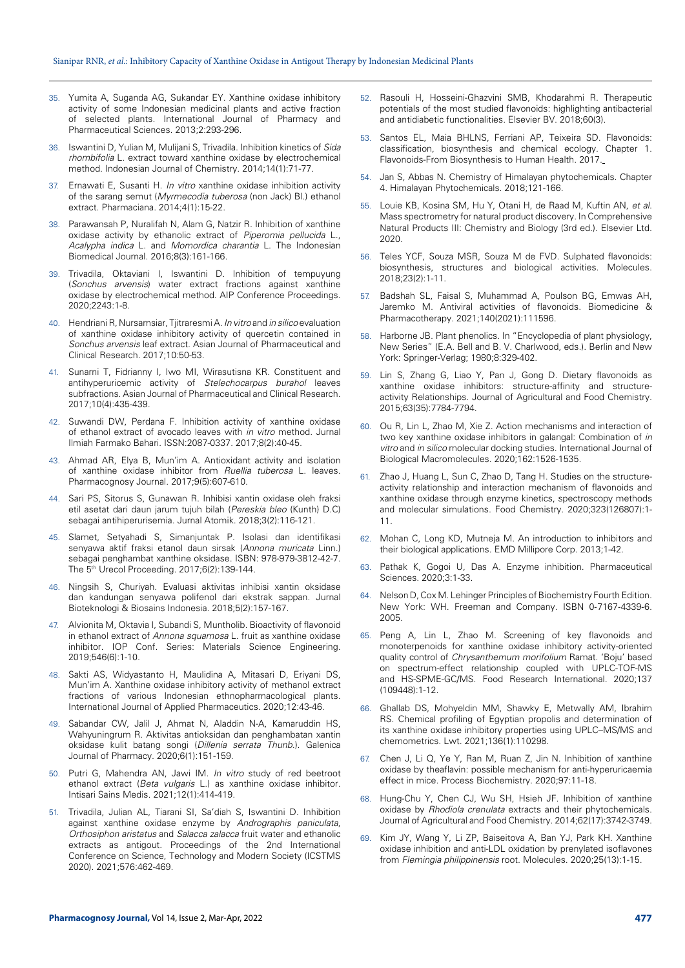- 35. Yumita A, Suganda AG, Sukandar EY. Xanthine oxidase inhibitory activity of some Indonesian medicinal plants and active fraction of selected plants. International Journal of Pharmacy and Pharmaceutical Sciences. 2013;2:293-296.
- 36. Iswantini D, Yulian M, Mulijani S, Trivadila. Inhibition kinetics of *Sida rhombifolia* L. extract toward xanthine oxidase by electrochemical method. Indonesian Journal of Chemistry. 2014;14(1):71-77.
- 37. Ernawati E, Susanti H. *In vitro* xanthine oxidase inhibition activity of the sarang semut (*Myrmecodia tuberosa* (non Jack) Bl.) ethanol extract. Pharmaciana. 2014;4(1):15-22.
- 38. Parawansah P, Nuralifah N, Alam G, Natzir R. Inhibition of xanthine oxidase activity by ethanolic extract of *Piperomia pellucida* L., *Acalypha indica* L. and *Momordica charantia* L. The Indonesian Biomedical Journal. 2016;8(3):161-166.
- 39. Trivadila, Oktaviani I, Iswantini D. Inhibition of tempuyung (*Sonchus arvensis*) water extract fractions against xanthine oxidase by electrochemical method. AIP Conference Proceedings. 2020;2243:1-8.
- 40. Hendriani R, Nursamsiar, Tjitraresmi A. *In vitro* and *in silico* evaluation of xanthine oxidase inhibitory activity of quercetin contained in *Sonchus arvensis* leaf extract. Asian Journal of Pharmaceutical and Clinical Research. 2017;10:50-53.
- 41. Sunarni T, Fidrianny I, Iwo MI, Wirasutisna KR. Constituent and antihyperuricemic activity of *Stelechocarpus burahol* leaves subfractions. Asian Journal of Pharmaceutical and Clinical Research. 2017;10(4):435-439.
- 42. Suwandi DW, Perdana F. Inhibition activity of xanthine oxidase of ethanol extract of avocado leaves with *in vitro* method. Jurnal Ilmiah Farmako Bahari*.* ISSN:2087-0337*.* 2017;8(2):40-45.
- 43. Ahmad AR, Elya B, Mun'im A. Antioxidant activity and isolation of xanthine oxidase inhibitor from *Ruellia tuberosa* L. leaves. Pharmacognosy Journal. 2017;9(5):607-610.
- 44. Sari PS, Sitorus S, Gunawan R. Inhibisi xantin oxidase oleh fraksi etil asetat dari daun jarum tujuh bilah (*Pereskia bleo* (Kunth) D.C) sebagai antihiperurisemia. Jurnal Atomik. 2018;3(2):116-121.
- 45. Slamet, Setyahadi S, Simanjuntak P. Isolasi dan identifikasi senyawa aktif fraksi etanol daun sirsak (*Annona muricata* Linn.) sebagai penghambat xanthine oksidase. ISBN: 978-979-3812-42-7. The 5th Urecol Proceeding. 2017;6(2):139-144.
- 46. Ningsih S, Churiyah. Evaluasi aktivitas inhibisi xantin oksidase dan kandungan senyawa polifenol dari ekstrak sappan. Jurnal Bioteknologi & Biosains Indonesia. 2018;5(2):157-167.
- 47. Alvionita M, Oktavia I, Subandi S, Muntholib. Bioactivity of flavonoid in ethanol extract of *Annona squamosa* L. fruit as xanthine oxidase inhibitor. IOP Conf. Series: Materials Science Engineering. 2019;546(6):1-10.
- 48. Sakti AS, Widyastanto H, Maulidina A, Mitasari D, Eriyani DS, Mun'im A. Xanthine oxidase inhibitory activity of methanol extract fractions of various Indonesian ethnopharmacological plants. International Journal of Applied Pharmaceutics. 2020;12:43-46.
- 49. Sabandar CW, Jalil J, Ahmat N, Aladdin N-A, Kamaruddin HS, Wahyuningrum R. Aktivitas antioksidan dan penghambatan xantin oksidase kulit batang songi (*Dillenia serrata Thunb*.). Galenica Journal of Pharmacy. 2020;6(1):151-159.
- 50. Putri G, Mahendra AN, Jawi IM. *In vitro* study of red beetroot ethanol extract (*Beta vulgaris* L.) as xanthine oxidase inhibitor. Intisari Sains Medis. 2021;12(1):414-419.
- 51. Trivadila, Julian AL, Tiarani SI, Sa'diah S, Iswantini D. Inhibition against xanthine oxidase enzyme by *Andrographis paniculata*, *Orthosiphon aristatus* and *Salacca zalacca* fruit water and ethanolic extracts as antigout. Proceedings of the 2nd International Conference on Science, Technology and Modern Society (ICSTMS 2020). 2021;576:462-469.
- 52. Rasouli H, Hosseini-Ghazvini SMB, Khodarahmi R. Therapeutic potentials of the most studied flavonoids: highlighting antibacterial and antidiabetic functionalities. Elsevier BV. 2018;60(3).
- 53. Santos EL, Maia BHLNS, Ferriani AP, Teixeira SD. Flavonoids: classification, biosynthesis and chemical ecology. Chapter 1. Flavonoids-From Biosynthesis to Human Health. 2017.
- Jan S, Abbas N. Chemistry of Himalayan phytochemicals. Chapter 4. Himalayan Phytochemicals. 2018;121-166.
- 55. Louie KB, Kosina SM, Hu Y, Otani H, de Raad M, Kuftin AN, *et al*. Mass spectrometry for natural product discovery. In Comprehensive Natural Products III: Chemistry and Biology (3rd ed.). Elsevier Ltd. 2020.
- 56. Teles YCF, Souza MSR, Souza M de FVD. Sulphated flavonoids: biosynthesis, structures and biological activities. Molecules. 2018;23(2):1-11.
- 57. Badshah SL, Faisal S, Muhammad A, Poulson BG, Emwas AH, Jaremko M. Antiviral activities of flavonoids. Biomedicine & Pharmacotherapy. 2021;140(2021):111596.
- 58. Harborne JB. Plant phenolics. In "Encyclopedia of plant physiology, New Series" (E.A. Bell and B. V. Charlwood, eds.). Berlin and New York: Springer-Verlag; 1980;8:329-402.
- 59. Lin S, Zhang G, Liao Y, Pan J, Gong D. Dietary flavonoids as xanthine oxidase inhibitors: structure-affinity and structureactivity Relationships. Journal of Agricultural and Food Chemistry. 2015;63(35):7784-7794.
- 60. Ou R, Lin L, Zhao M, Xie Z. Action mechanisms and interaction of two key xanthine oxidase inhibitors in galangal: Combination of *in vitro* and *in silico* molecular docking studies. International Journal of Biological Macromolecules. 2020;162:1526-1535.
- 61. Zhao J, Huang L, Sun C, Zhao D, Tang H. Studies on the structureactivity relationship and interaction mechanism of flavonoids and xanthine oxidase through enzyme kinetics, spectroscopy methods and molecular simulations. Food Chemistry. 2020;323(126807):1- 11.
- 62. Mohan C, Long KD, Mutneja M. An introduction to inhibitors and their biological applications. EMD Millipore Corp. 2013;1-42.
- 63. Pathak K, Gogoi U, Das A. Enzyme inhibition. Pharmaceutical Sciences. 2020;3:1-33.
- 64. Nelson D, Cox M. Lehinger Principles of Biochemistry Fourth Edition. New York: WH. Freeman and Company. ISBN 0‐7167‐4339‐6. 2005.
- 65. Peng A, Lin L, Zhao M. Screening of key flavonoids and monoterpenoids for xanthine oxidase inhibitory activity-oriented quality control of *Chrysanthemum morifolium* Ramat. 'Boju' based on spectrum-effect relationship coupled with UPLC-TOF-MS and HS-SPME-GC/MS. Food Research International. 2020;137 (109448):1-12.
- 66. Ghallab DS, Mohyeldin MM, Shawky E, Metwally AM, Ibrahim RS. Chemical profiling of Egyptian propolis and determination of its xanthine oxidase inhibitory properties using UPLC–MS/MS and chemometrics. Lwt. 2021;136(1):110298.
- 67. Chen J, Li Q, Ye Y, Ran M, Ruan Z, Jin N. Inhibition of xanthine oxidase by theaflavin: possible mechanism for anti-hyperuricaemia effect in mice. Process Biochemistry. 2020;97:11-18.
- 68. Hung-Chu Y, Chen CJ, Wu SH, Hsieh JF. Inhibition of xanthine oxidase by *Rhodiola crenulata* extracts and their phytochemicals. Journal of Agricultural and Food Chemistry. 2014;62(17):3742-3749.
- 69. Kim JY, Wang Y, Li ZP, Baiseitova A, Ban YJ, Park KH. Xanthine oxidase inhibition and anti-LDL oxidation by prenylated isoflavones from *Flemingia philippinensis* root. Molecules. 2020;25(13):1-15.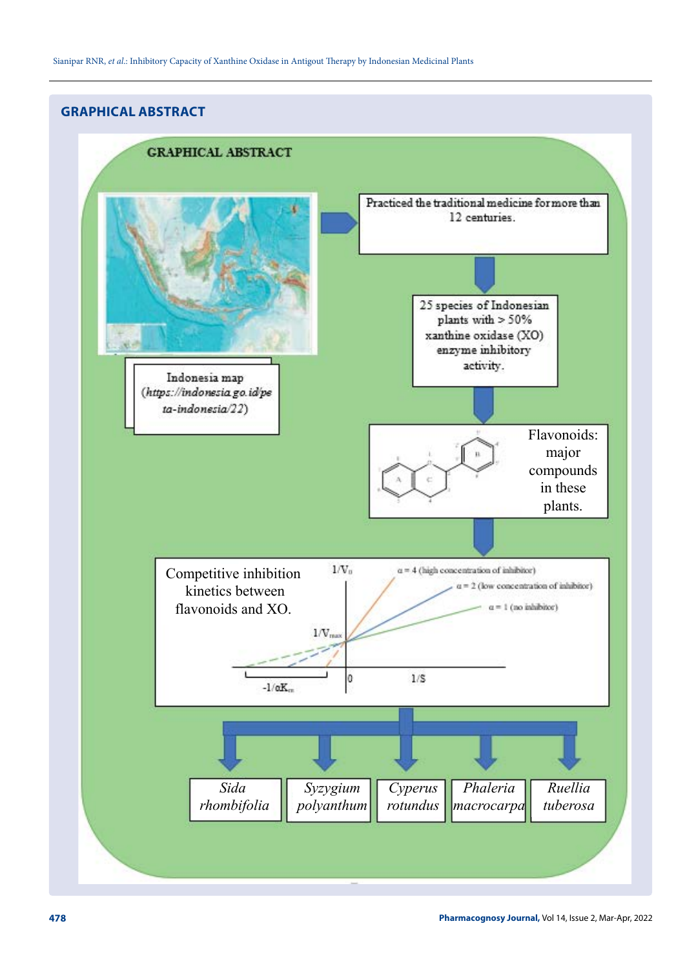# **GRAPHICAL ABSTRACT**